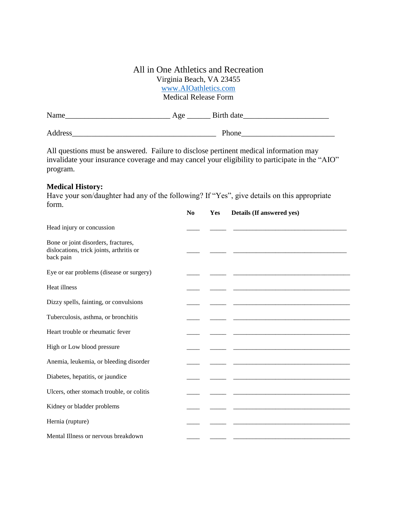## All in One Athletics and Recreation Virginia Beach, VA 23455 <www.AIOathletics.com> Medical Release Form

| Name    | Age | Birth date |  |
|---------|-----|------------|--|
| Address |     | Phone      |  |

All questions must be answered. Failure to disclose pertinent medical information may invalidate your insurance coverage and may cancel your eligibility to participate in the "AIO" program.

## **Medical History:**

Have your son/daughter had any of the following? If "Yes", give details on this appropriate form. **No Yes Details (If answered yes)**

|                                                                                              | N <sub>0</sub> | <b>Yes</b> | Details (If answered yes) |
|----------------------------------------------------------------------------------------------|----------------|------------|---------------------------|
| Head injury or concussion                                                                    |                |            |                           |
| Bone or joint disorders, fractures,<br>dislocations, trick joints, arthritis or<br>back pain |                |            |                           |
| Eye or ear problems (disease or surgery)                                                     |                |            |                           |
| Heat illness                                                                                 |                |            |                           |
| Dizzy spells, fainting, or convulsions                                                       |                |            |                           |
| Tuberculosis, asthma, or bronchitis                                                          |                |            |                           |
| Heart trouble or rheumatic fever                                                             |                |            |                           |
| High or Low blood pressure                                                                   |                |            |                           |
| Anemia, leukemia, or bleeding disorder                                                       |                |            |                           |
| Diabetes, hepatitis, or jaundice                                                             |                |            |                           |
| Ulcers, other stomach trouble, or colitis                                                    |                |            |                           |
| Kidney or bladder problems                                                                   |                |            |                           |
| Hernia (rupture)                                                                             |                |            |                           |
| Mental Illness or nervous breakdown                                                          |                |            |                           |